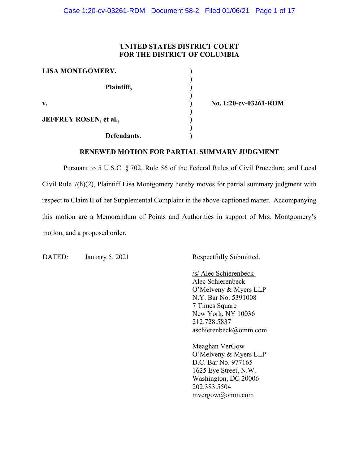## **UNITED STATES DISTRICT COURT FOR THE DISTRICT OF COLUMBIA**

| LISA MONTGOMERY,              |  |
|-------------------------------|--|
| Plaintiff,                    |  |
| $\mathbf{v}$ .                |  |
| <b>JEFFREY ROSEN, et al.,</b> |  |
| Defendants.                   |  |

**v. ) No. 1:20-cv-03261-RDM**

## **RENEWED MOTION FOR PARTIAL SUMMARY JUDGMENT**

Pursuant to 5 U.S.C. § 702, Rule 56 of the Federal Rules of Civil Procedure, and Local Civil Rule 7(h)(2), Plaintiff Lisa Montgomery hereby moves for partial summary judgment with respect to Claim II of her Supplemental Complaint in the above-captioned matter. Accompanying this motion are a Memorandum of Points and Authorities in support of Mrs. Montgomery's motion, and a proposed order.

DATED: January 5, 2021 Respectfully Submitted,

/s/ Alec Schierenbeck Alec Schierenbeck O'Melveny & Myers LLP N.Y. Bar No. 5391008 7 Times Square New York, NY 10036 212.728.5837 aschierenbeck@omm.com

Meaghan VerGow O'Melveny & Myers LLP D.C. Bar No. 977165 1625 Eye Street, N.W. Washington, DC 20006 202.383.5504 mvergow@omm.com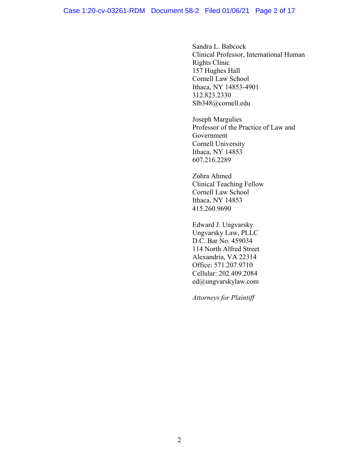#### Case 1:20-cv-03261-RDM Document 58-2 Filed 01/06/21 Page 2 of 17

Sandra L. Babcock Clinical Professor, International Human Rights Clinic 157 Hughes Hall Cornell Law School Ithaca, NY 14853-4901 312.823.2330 Slb348@cornell.edu

Joseph Margulies Professor of the Practice of Law and Government Cornell University Ithaca, NY 14853 607.216.2289

Zohra Ahmed Clinical Teaching Fellow Cornell Law School Ithaca, NY 14853 415.260.9690

Edward J. Ungvarsky Ungvarsky Law, PLLC D.C. Bar No. 459034 114 North Alfred Street Alexandria, VA 22314 Office: 571.207.9710 Cellular: 202.409.2084 ed@ungvarskylaw.com

*Attorneys for Plaintiff*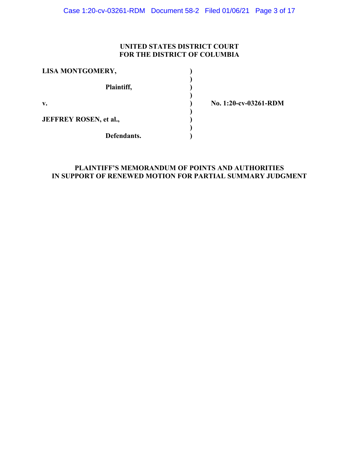## **UNITED STATES DISTRICT COURT FOR THE DISTRICT OF COLUMBIA**

| LISA MONTGOMERY,              |  |
|-------------------------------|--|
| Plaintiff,                    |  |
| $\mathbf{v}$ .                |  |
| <b>JEFFREY ROSEN, et al.,</b> |  |
| Defendants.                   |  |

**v. ) No. 1:20-cv-03261-RDM**

## **PLAINTIFF'S MEMORANDUM OF POINTS AND AUTHORITIES IN SUPPORT OF RENEWED MOTION FOR PARTIAL SUMMARY JUDGMENT**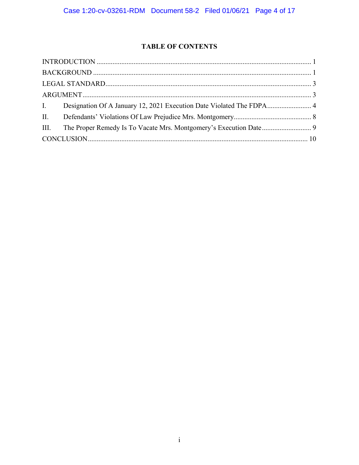## **TABLE OF CONTENTS**

| I. Designation Of A January 12, 2021 Execution Date Violated The FDPA 4 |  |
|-------------------------------------------------------------------------|--|
|                                                                         |  |
|                                                                         |  |
|                                                                         |  |
|                                                                         |  |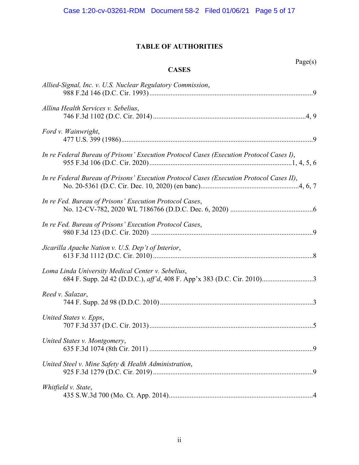# **TABLE OF AUTHORITIES**

| е,<br>aо |
|----------|
|----------|

## **CASES**

| Allied-Signal, Inc. v. U.S. Nuclear Regulatory Commission,                                                                  |
|-----------------------------------------------------------------------------------------------------------------------------|
| Allina Health Services v. Sebelius,                                                                                         |
| Ford v. Wainwright,                                                                                                         |
| In re Federal Bureau of Prisons' Execution Protocol Cases (Execution Protocol Cases I),                                     |
| In re Federal Bureau of Prisons' Execution Protocol Cases (Execution Protocol Cases II),                                    |
| In re Fed. Bureau of Prisons' Execution Protocol Cases,                                                                     |
| In re Fed. Bureau of Prisons' Execution Protocol Cases,                                                                     |
| Jicarilla Apache Nation v. U.S. Dep't of Interior,                                                                          |
| Loma Linda University Medical Center v. Sebelius,<br>684 F. Supp. 2d 42 (D.D.C.), aff'd, 408 F. App'x 383 (D.C. Cir. 2010)3 |
| Reed v. Salazar,                                                                                                            |
| United States v. Epps,                                                                                                      |
| United States v. Montgomery,                                                                                                |
| United Steel v. Mine Safety & Health Administration,                                                                        |
| Whitfield v. State,                                                                                                         |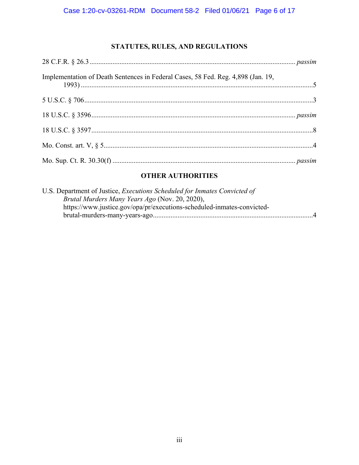# STATUTES, RULES, AND REGULATIONS

| Implementation of Death Sentences in Federal Cases, 58 Fed. Reg. 4,898 (Jan. 19,<br>$1993)$ $\ldots$ $\ldots$ $\ldots$ $\ldots$ $\ldots$ $\ldots$ $\ldots$ $\ldots$ $\ldots$ $\ldots$ $\ldots$ $\ldots$ $\ldots$ $\ldots$ $\ldots$ $\ldots$ $\ldots$ $\ldots$ $\ldots$ $\ldots$ $\ldots$ $\ldots$ $\ldots$ $\ldots$ $\ldots$ $\ldots$ $\ldots$ $\ldots$ $\ldots$ $\ldots$ $\ldots$ $\ldots$ $\ldots$ $\ldots$ $\ldots$ |  |
|------------------------------------------------------------------------------------------------------------------------------------------------------------------------------------------------------------------------------------------------------------------------------------------------------------------------------------------------------------------------------------------------------------------------|--|
|                                                                                                                                                                                                                                                                                                                                                                                                                        |  |
|                                                                                                                                                                                                                                                                                                                                                                                                                        |  |
|                                                                                                                                                                                                                                                                                                                                                                                                                        |  |
|                                                                                                                                                                                                                                                                                                                                                                                                                        |  |
|                                                                                                                                                                                                                                                                                                                                                                                                                        |  |

## **OTHER AUTHORITIES**

| U.S. Department of Justice, Executions Scheduled for Inmates Convicted of |
|---------------------------------------------------------------------------|
| Brutal Murders Many Years Ago (Nov. 20, 2020),                            |
| https://www.justice.gov/opa/pr/executions-scheduled-inmates-convicted-    |
| $\overline{4}$                                                            |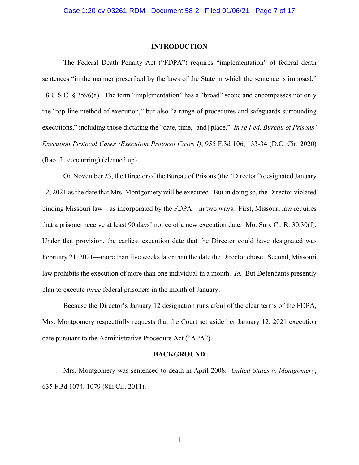#### **INTRODUCTION**

<span id="page-6-0"></span>The Federal Death Penalty Act ("FDPA") requires "implementation" of federal death sentences "in the manner prescribed by the laws of the State in which the sentence is imposed." 18 U.S.C. § 3596(a). The term "implementation" has a "broad" scope and encompasses not only the "top-line method of execution," but also "a range of procedures and safeguards surrounding executions," including those dictating the "date, time, [and] place." *In re Fed. Bureau of Prisons' Execution Protocol Cases (Execution Protocol Cases I)*, 955 F.3d 106, 133-34 (D.C. Cir. 2020) (Rao, J., concurring) (cleaned up).

On November 23, the Director of the Bureau of Prisons (the "Director") designated January 12, 2021 as the date that Mrs. Montgomery will be executed. But in doing so, the Director violated binding Missouri law—as incorporated by the FDPA—in two ways. First, Missouri law requires that a prisoner receive at least 90 days' notice of a new execution date. Mo. Sup. Ct. R. 30.30(f). Under that provision, the earliest execution date that the Director could have designated was February 21, 2021—more than five weeks later than the date the Director chose. Second, Missouri law prohibits the execution of more than one individual in a month. *Id.* But Defendants presently plan to execute *three* federal prisoners in the month of January.

Because the Director's January 12 designation runs afoul of the clear terms of the FDPA, Mrs. Montgomery respectfully requests that the Court set aside her January 12, 2021 execution date pursuant to the Administrative Procedure Act ("APA").

#### **BACKGROUND**

<span id="page-6-1"></span>Mrs. Montgomery was sentenced to death in April 2008. *United States v. Montgomery*, 635 F.3d 1074, 1079 (8th Cir. 2011).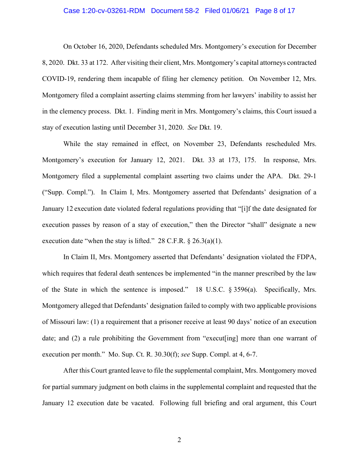#### Case 1:20-cv-03261-RDM Document 58-2 Filed 01/06/21 Page 8 of 17

On October 16, 2020, Defendants scheduled Mrs. Montgomery's execution for December 8, 2020. Dkt. 33 at 172. After visiting their client, Mrs. Montgomery's capital attorneys contracted COVID-19, rendering them incapable of filing her clemency petition. On November 12, Mrs. Montgomery filed a complaint asserting claims stemming from her lawyers' inability to assist her in the clemency process. Dkt. 1. Finding merit in Mrs. Montgomery's claims, this Court issued a stay of execution lasting until December 31, 2020. *See* Dkt. 19.

While the stay remained in effect, on November 23, Defendants rescheduled Mrs. Montgomery's execution for January 12, 2021. Dkt. 33 at 173, 175. In response, Mrs. Montgomery filed a supplemental complaint asserting two claims under the APA. Dkt. 29-1 ("Supp. Compl."). In Claim I, Mrs. Montgomery asserted that Defendants' designation of a January 12 execution date violated federal regulations providing that "[i]f the date designated for execution passes by reason of a stay of execution," then the Director "shall" designate a new execution date "when the stay is lifted." 28 C.F.R.  $\S$  26.3(a)(1).

In Claim II, Mrs. Montgomery asserted that Defendants' designation violated the FDPA, which requires that federal death sentences be implemented "in the manner prescribed by the law of the State in which the sentence is imposed." 18 U.S.C. § 3596(a). Specifically, Mrs. Montgomery alleged that Defendants' designation failed to comply with two applicable provisions of Missouri law: (1) a requirement that a prisoner receive at least 90 days' notice of an execution date; and (2) a rule prohibiting the Government from "execut[ing] more than one warrant of execution per month." Mo. Sup. Ct. R. 30.30(f); *see* Supp. Compl. at 4, 6-7.

After this Court granted leave to file the supplemental complaint, Mrs. Montgomery moved for partial summary judgment on both claims in the supplemental complaint and requested that the January 12 execution date be vacated. Following full briefing and oral argument, this Court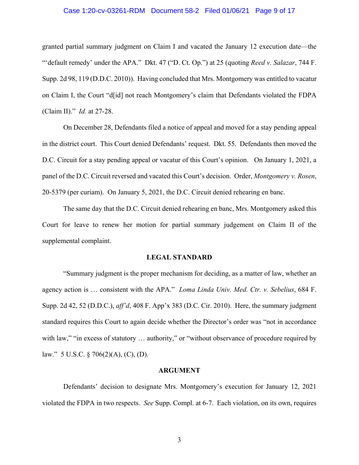#### Case 1:20-cv-03261-RDM Document 58-2 Filed 01/06/21 Page 9 of 17

granted partial summary judgment on Claim I and vacated the January 12 execution date—the "'default remedy' under the APA." Dkt. 47 ("D. Ct. Op.") at 25 (quoting *Reed v. Salazar*, 744 F. Supp. 2d 98, 119 (D.D.C. 2010)). Having concluded that Mrs. Montgomery was entitled to vacatur on Claim I, the Court "d[id] not reach Montgomery's claim that Defendants violated the FDPA (Claim II)." *Id.* at 27-28.

On December 28, Defendants filed a notice of appeal and moved for a stay pending appeal in the district court. This Court denied Defendants' request. Dkt. 55. Defendants then moved the D.C. Circuit for a stay pending appeal or vacatur of this Court's opinion. On January 1, 2021, a panel of the D.C. Circuit reversed and vacated this Court's decision. Order, *Montgomery v. Rosen*, 20-5379 (per curiam). On January 5, 2021, the D.C. Circuit denied rehearing en banc.

The same day that the D.C. Circuit denied rehearing en banc, Mrs. Montgomery asked this Court for leave to renew her motion for partial summary judgement on Claim II of the supplemental complaint.

#### **LEGAL STANDARD**

<span id="page-8-0"></span>"Summary judgment is the proper mechanism for deciding, as a matter of law, whether an agency action is … consistent with the APA." *Loma Linda Univ. Med. Ctr. v. Sebelius*, 684 F. Supp. 2d 42, 52 (D.D.C.), *aff'd*, 408 F. App'x 383 (D.C. Cir. 2010). Here, the summary judgment standard requires this Court to again decide whether the Director's order was "not in accordance with law," "in excess of statutory ... authority," or "without observance of procedure required by law." 5 U.S.C. § 706(2)(A), (C), (D).

#### **ARGUMENT**

<span id="page-8-1"></span>Defendants' decision to designate Mrs. Montgomery's execution for January 12, 2021 violated the FDPA in two respects. *See* Supp. Compl. at 6-7. Each violation, on its own, requires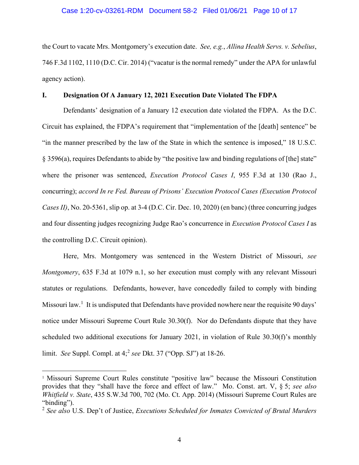#### Case 1:20-cv-03261-RDM Document 58-2 Filed 01/06/21 Page 10 of 17

the Court to vacate Mrs. Montgomery's execution date. *See, e.g.*, *Allina Health Servs. v. Sebelius*, 746 F.3d 1102, 1110 (D.C. Cir. 2014) ("vacatur is the normal remedy" under the APA for unlawful agency action).

### <span id="page-9-0"></span>**I. Designation Of A January 12, 2021 Execution Date Violated The FDPA**

Defendants' designation of a January 12 execution date violated the FDPA. As the D.C. Circuit has explained, the FDPA's requirement that "implementation of the [death] sentence" be "in the manner prescribed by the law of the State in which the sentence is imposed," 18 U.S.C. § 3596(a), requires Defendants to abide by "the positive law and binding regulations of [the] state" where the prisoner was sentenced, *Execution Protocol Cases I*, 955 F.3d at 130 (Rao J., concurring); *accord In re Fed. Bureau of Prisons' Execution Protocol Cases (Execution Protocol Cases II)*, No. 20-5361, slip op. at 3-4 (D.C. Cir. Dec. 10, 2020) (en banc) (three concurring judges and four dissenting judges recognizing Judge Rao's concurrence in *Execution Protocol Cases I* as the controlling D.C. Circuit opinion).

Here, Mrs. Montgomery was sentenced in the Western District of Missouri, *see Montgomery*, 635 F.3d at 1079 n.1, so her execution must comply with any relevant Missouri statutes or regulations. Defendants, however, have concededly failed to comply with binding Missouri law.<sup>[1](#page-9-1)</sup> It is undisputed that Defendants have provided nowhere near the requisite 90 days' notice under Missouri Supreme Court Rule 30.30(f). Nor do Defendants dispute that they have scheduled two additional executions for January 2021, in violation of Rule 30.30(f)'s monthly limit. *See* Suppl. Compl. at 4;[2](#page-9-2) *see* Dkt. 37 ("Opp. SJ") at 18-26.

 $\overline{a}$ 

<span id="page-9-1"></span><sup>&</sup>lt;sup>1</sup> Missouri Supreme Court Rules constitute "positive law" because the Missouri Constitution provides that they "shall have the force and effect of law." Mo. Const. art. V, § 5; *see also Whitfield v. State*, 435 S.W.3d 700, 702 (Mo. Ct. App. 2014) (Missouri Supreme Court Rules are "binding").

<span id="page-9-2"></span><sup>2</sup> *See also* U.S. Dep't of Justice, *Executions Scheduled for Inmates Convicted of Brutal Murders*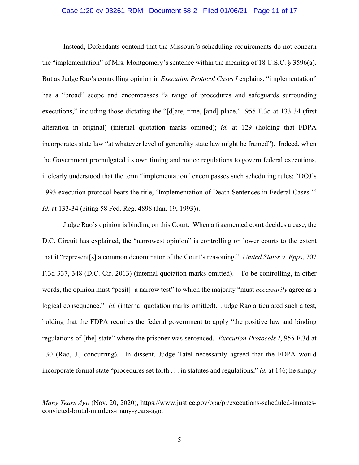#### Case 1:20-cv-03261-RDM Document 58-2 Filed 01/06/21 Page 11 of 17

Instead, Defendants contend that the Missouri's scheduling requirements do not concern the "implementation" of Mrs. Montgomery's sentence within the meaning of 18 U.S.C. § 3596(a). But as Judge Rao's controlling opinion in *Execution Protocol Cases I* explains, "implementation" has a "broad" scope and encompasses "a range of procedures and safeguards surrounding executions," including those dictating the "[d]ate, time, [and] place." 955 F.3d at 133-34 (first alteration in original) (internal quotation marks omitted); *id.* at 129 (holding that FDPA incorporates state law "at whatever level of generality state law might be framed"). Indeed, when the Government promulgated its own timing and notice regulations to govern federal executions, it clearly understood that the term "implementation" encompasses such scheduling rules: "DOJ's 1993 execution protocol bears the title, 'Implementation of Death Sentences in Federal Cases.'" *Id.* at 133-34 (citing 58 Fed. Reg. 4898 (Jan. 19, 1993)).

Judge Rao's opinion is binding on this Court. When a fragmented court decides a case, the D.C. Circuit has explained, the "narrowest opinion" is controlling on lower courts to the extent that it "represent[s] a common denominator of the Court's reasoning." *United States v. Epps*, 707 F.3d 337, 348 (D.C. Cir. 2013) (internal quotation marks omitted). To be controlling, in other words, the opinion must "posit[] a narrow test" to which the majority "must *necessarily* agree as a logical consequence." *Id.* (internal quotation marks omitted). Judge Rao articulated such a test, holding that the FDPA requires the federal government to apply "the positive law and binding regulations of [the] state" where the prisoner was sentenced. *Execution Protocols I*, 955 F.3d at 130 (Rao, J., concurring). In dissent, Judge Tatel necessarily agreed that the FDPA would incorporate formal state "procedures set forth . . . in statutes and regulations," *id.* at 146; he simply

 $\overline{a}$ 

*Many Years Ago* (Nov. 20, 2020), https://www.justice.gov/opa/pr/executions-scheduled-inmatesconvicted-brutal-murders-many-years-ago.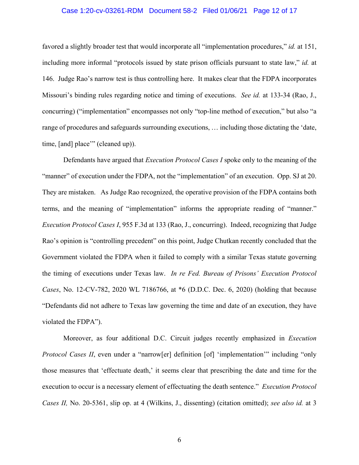#### Case 1:20-cv-03261-RDM Document 58-2 Filed 01/06/21 Page 12 of 17

favored a slightly broader test that would incorporate all "implementation procedures," *id.* at 151, including more informal "protocols issued by state prison officials pursuant to state law," *id.* at 146. Judge Rao's narrow test is thus controlling here. It makes clear that the FDPA incorporates Missouri's binding rules regarding notice and timing of executions. *See id.* at 133-34 (Rao, J., concurring) ("implementation" encompasses not only "top-line method of execution," but also "a range of procedures and safeguards surrounding executions, … including those dictating the 'date, time, [and] place" (cleaned up)).

Defendants have argued that *Execution Protocol Cases I* spoke only to the meaning of the "manner" of execution under the FDPA, not the "implementation" of an execution. Opp. SJ at 20. They are mistaken. As Judge Rao recognized, the operative provision of the FDPA contains both terms, and the meaning of "implementation" informs the appropriate reading of "manner." *Execution Protocol Cases I*, 955 F.3d at 133 (Rao, J., concurring). Indeed, recognizing that Judge Rao's opinion is "controlling precedent" on this point, Judge Chutkan recently concluded that the Government violated the FDPA when it failed to comply with a similar Texas statute governing the timing of executions under Texas law. *In re Fed. Bureau of Prisons' Execution Protocol Cases*, No. 12-CV-782, 2020 WL 7186766, at \*6 (D.D.C. Dec. 6, 2020) (holding that because "Defendants did not adhere to Texas law governing the time and date of an execution, they have violated the FDPA").

Moreover, as four additional D.C. Circuit judges recently emphasized in *Execution Protocol Cases II*, even under a "narrow[er] definition [of] 'implementation'" including "only those measures that 'effectuate death,' it seems clear that prescribing the date and time for the execution to occur is a necessary element of effectuating the death sentence." *Execution Protocol Cases II,* No. 20-5361, slip op. at 4 (Wilkins, J., dissenting) (citation omitted); *see also id.* at 3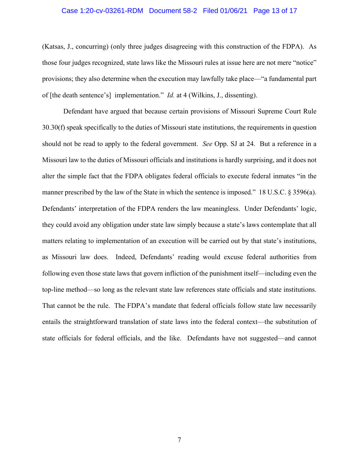#### Case 1:20-cv-03261-RDM Document 58-2 Filed 01/06/21 Page 13 of 17

(Katsas, J., concurring) (only three judges disagreeing with this construction of the FDPA). As those four judges recognized, state laws like the Missouri rules at issue here are not mere "notice" provisions; they also determine when the execution may lawfully take place—"a fundamental part of [the death sentence's] implementation." *Id.* at 4 (Wilkins, J., dissenting).

Defendant have argued that because certain provisions of Missouri Supreme Court Rule 30.30(f) speak specifically to the duties of Missouri state institutions, the requirements in question should not be read to apply to the federal government. *See* Opp. SJ at 24. But a reference in a Missouri law to the duties of Missouri officials and institutions is hardly surprising, and it does not alter the simple fact that the FDPA obligates federal officials to execute federal inmates "in the manner prescribed by the law of the State in which the sentence is imposed." 18 U.S.C. § 3596(a). Defendants' interpretation of the FDPA renders the law meaningless. Under Defendants' logic, they could avoid any obligation under state law simply because a state's laws contemplate that all matters relating to implementation of an execution will be carried out by that state's institutions, as Missouri law does. Indeed, Defendants' reading would excuse federal authorities from following even those state laws that govern infliction of the punishment itself—including even the top-line method—so long as the relevant state law references state officials and state institutions. That cannot be the rule. The FDPA's mandate that federal officials follow state law necessarily entails the straightforward translation of state laws into the federal context—the substitution of state officials for federal officials, and the like. Defendants have not suggested—and cannot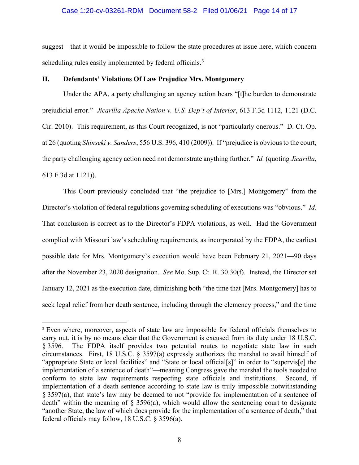#### Case 1:20-cv-03261-RDM Document 58-2 Filed 01/06/21 Page 14 of 17

suggest—that it would be impossible to follow the state procedures at issue here, which concern scheduling rules easily implemented by federal officials.<sup>[3](#page-13-1)</sup>

#### <span id="page-13-0"></span>**II. Defendants' Violations Of Law Prejudice Mrs. Montgomery**

Under the APA, a party challenging an agency action bears "[t]he burden to demonstrate prejudicial error." *Jicarilla Apache Nation v. U.S. Dep't of Interior*, 613 F.3d 1112, 1121 (D.C. Cir. 2010). This requirement, as this Court recognized, is not "particularly onerous." D. Ct. Op. at 26 (quoting *Shinseki v. Sanders*, 556 U.S. 396, 410 (2009)). If "prejudice is obvious to the court, the party challenging agency action need not demonstrate anything further." *Id.* (quoting *Jicarilla*, 613 F.3d at 1121)).

This Court previously concluded that "the prejudice to [Mrs.] Montgomery" from the Director's violation of federal regulations governing scheduling of executions was "obvious." *Id.* That conclusion is correct as to the Director's FDPA violations, as well. Had the Government complied with Missouri law's scheduling requirements, as incorporated by the FDPA, the earliest possible date for Mrs. Montgomery's execution would have been February 21, 2021—90 days after the November 23, 2020 designation. *See* Mo. Sup. Ct. R. 30.30(f). Instead, the Director set January 12, 2021 as the execution date, diminishing both "the time that [Mrs. Montgomery] has to seek legal relief from her death sentence, including through the clemency process," and the time

 $\overline{a}$ 

<span id="page-13-1"></span><sup>&</sup>lt;sup>3</sup> Even where, moreover, aspects of state law are impossible for federal officials themselves to carry out, it is by no means clear that the Government is excused from its duty under 18 U.S.C. § 3596. The FDPA itself provides two potential routes to negotiate state law in such circumstances. First, 18 U.S.C. § 3597(a) expressly authorizes the marshal to avail himself of "appropriate State or local facilities" and "State or local official[s]" in order to "supervis[e] the implementation of a sentence of death"—meaning Congress gave the marshal the tools needed to conform to state law requirements respecting state officials and institutions. Second, if implementation of a death sentence according to state law is truly impossible notwithstanding § 3597(a), that state's law may be deemed to not "provide for implementation of a sentence of death" within the meaning of  $\S$  3596(a), which would allow the sentencing court to designate "another State, the law of which does provide for the implementation of a sentence of death," that federal officials may follow, 18 U.S.C. § 3596(a).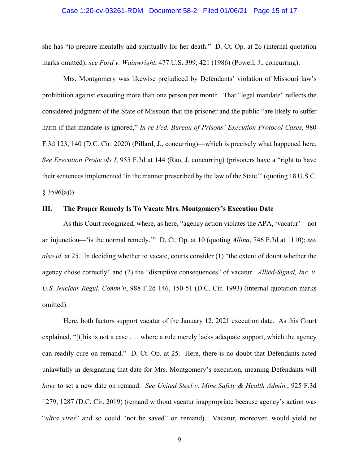#### Case 1:20-cv-03261-RDM Document 58-2 Filed 01/06/21 Page 15 of 17

she has "to prepare mentally and spiritually for her death." D. Ct. Op. at 26 (internal quotation marks omitted); *see Ford v. Wainwright*, 477 U.S. 399, 421 (1986) (Powell, J., concurring).

Mrs. Montgomery was likewise prejudiced by Defendants' violation of Missouri law's prohibition against executing more than one person per month. That "legal mandate" reflects the considered judgment of the State of Missouri that the prisoner and the public "are likely to suffer harm if that mandate is ignored," *In re Fed. Bureau of Prisons' Execution Protocol Cases*, 980 F.3d 123, 140 (D.C. Cir. 2020) (Pillard, J., concurring)—which is precisely what happened here. *See Execution Protocols I*, 955 F.3d at 144 (Rao, J. concurring) (prisoners have a "right to have their sentences implemented 'in the manner prescribed by the law of the State'" (quoting 18 U.S.C.  $§$  3596(a))).

### <span id="page-14-0"></span>**III. The Proper Remedy Is To Vacate Mrs. Montgomery's Execution Date**

As this Court recognized, where, as here, "agency action violates the APA, 'vacatur'—not an injunction—'is the normal remedy.'" D. Ct. Op. at 10 (quoting *Allina*, 746 F.3d at 1110); *see also id.* at 25. In deciding whether to vacate, courts consider (1) "the extent of doubt whether the agency chose correctly" and (2) the "disruptive consequences" of vacatur. *Allied-Signal, Inc. v. U.S. Nuclear Regul. Comm'n*, 988 F.2d 146, 150-51 (D.C. Cir. 1993) (internal quotation marks omitted).

Here, both factors support vacatur of the January 12, 2021 execution date. As this Court explained, "[t]his is not a case . . . where a rule merely lacks adequate support, which the agency can readily cure on remand." D. Ct. Op. at 25. Here, there is no doubt that Defendants acted unlawfully in designating that date for Mrs. Montgomery's execution, meaning Defendants will *have* to set a new date on remand. *See United Steel v. Mine Safety & Health Admin.*, 925 F.3d 1279, 1287 (D.C. Cir. 2019) (remand without vacatur inappropriate because agency's action was "*ultra vires*" and so could "not be saved" on remand). Vacatur, moreover, would yield no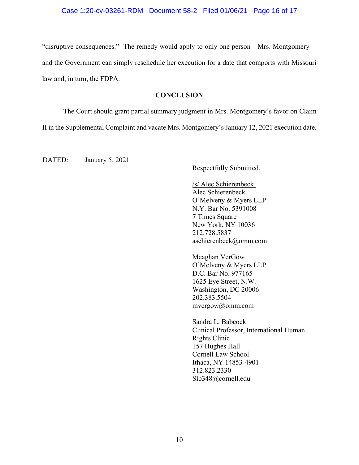#### Case 1:20-cv-03261-RDM Document 58-2 Filed 01/06/21 Page 16 of 17

"disruptive consequences." The remedy would apply to only one person—Mrs. Montgomery and the Government can simply reschedule her execution for a date that comports with Missouri law and, in turn, the FDPA.

### **CONCLUSION**

<span id="page-15-0"></span>The Court should grant partial summary judgment in Mrs. Montgomery's favor on Claim II in the Supplemental Complaint and vacate Mrs. Montgomery's January 12, 2021 execution date.

DATED: January 5, 2021

Respectfully Submitted,

/s/ Alec Schierenbeck Alec Schierenbeck O'Melveny & Myers LLP N.Y. Bar No. 5391008 7 Times Square New York, NY 10036 212.728.5837 aschierenbeck@omm.com

Meaghan VerGow O'Melveny & Myers LLP D.C. Bar No. 977165 1625 Eye Street, N.W. Washington, DC 20006 202.383.5504 mvergow@omm.com

Sandra L. Babcock Clinical Professor, International Human Rights Clinic 157 Hughes Hall Cornell Law School Ithaca, NY 14853-4901 312.823.2330 Slb348@cornell.edu